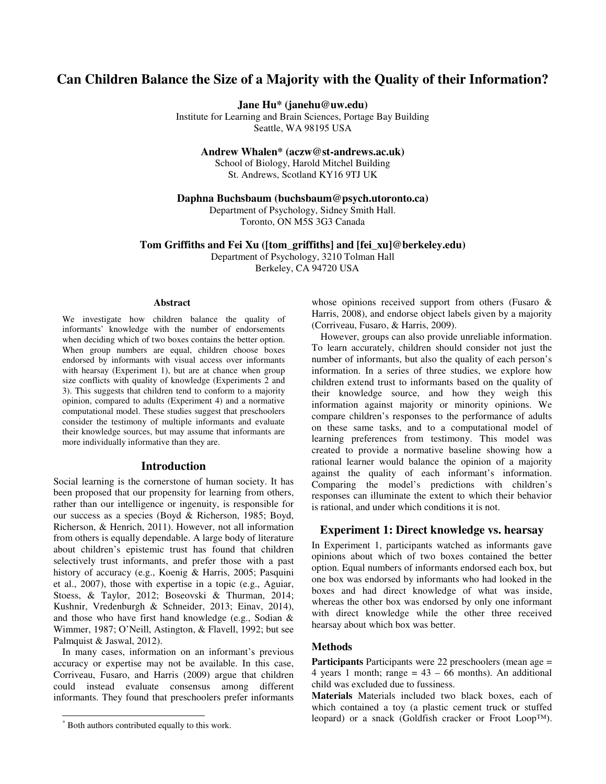# **Can Children Balance the Size of a Majority with the Quality of their Information?**

**Jane Hu\* (janehu@uw.edu)** 

Institute for Learning and Brain Sciences, Portage Bay Building Seattle, WA 98195 USA

**Andrew Whalen\* (aczw@st-andrews.ac.uk)** 

School of Biology, Harold Mitchel Building St. Andrews, Scotland KY16 9TJ UK

**Daphna Buchsbaum (buchsbaum@psych.utoronto.ca)** 

Department of Psychology, Sidney Smith Hall. Toronto, ON M5S 3G3 Canada

**Tom Griffiths and Fei Xu ([tom\_griffiths] and [fei\_xu]@berkeley.edu)**  Department of Psychology, 3210 Tolman Hall

Berkeley, CA 94720 USA

#### **Abstract\***

We investigate how children balance the quality of informants' knowledge with the number of endorsements when deciding which of two boxes contains the better option. When group numbers are equal, children choose boxes endorsed by informants with visual access over informants with hearsay (Experiment 1), but are at chance when group size conflicts with quality of knowledge (Experiments 2 and 3). This suggests that children tend to conform to a majority opinion, compared to adults (Experiment 4) and a normative computational model. These studies suggest that preschoolers consider the testimony of multiple informants and evaluate their knowledge sources, but may assume that informants are more individually informative than they are.

## **Introduction**

Social learning is the cornerstone of human society. It has been proposed that our propensity for learning from others, rather than our intelligence or ingenuity, is responsible for our success as a species (Boyd & Richerson, 1985; Boyd, Richerson, & Henrich, 2011). However, not all information from others is equally dependable. A large body of literature about children's epistemic trust has found that children selectively trust informants, and prefer those with a past history of accuracy (e.g., Koenig & Harris, 2005; Pasquini et al., 2007), those with expertise in a topic (e.g., Aguiar, Stoess, & Taylor, 2012; Boseovski & Thurman, 2014; Kushnir, Vredenburgh & Schneider, 2013; Einav, 2014), and those who have first hand knowledge (e.g., Sodian & Wimmer, 1987; O'Neill, Astington, & Flavell, 1992; but see Palmquist & Jaswal, 2012).

In many cases, information on an informant's previous accuracy or expertise may not be available. In this case, Corriveau, Fusaro, and Harris (2009) argue that children could instead evaluate consensus among different informants. They found that preschoolers prefer informants

1

whose opinions received support from others (Fusaro & Harris, 2008), and endorse object labels given by a majority (Corriveau, Fusaro, & Harris, 2009).

However, groups can also provide unreliable information. To learn accurately, children should consider not just the number of informants, but also the quality of each person's information. In a series of three studies, we explore how children extend trust to informants based on the quality of their knowledge source, and how they weigh this information against majority or minority opinions. We compare children's responses to the performance of adults on these same tasks, and to a computational model of learning preferences from testimony. This model was created to provide a normative baseline showing how a rational learner would balance the opinion of a majority against the quality of each informant's information. Comparing the model's predictions with children's responses can illuminate the extent to which their behavior is rational, and under which conditions it is not.

## **Experiment 1: Direct knowledge vs. hearsay**

In Experiment 1, participants watched as informants gave opinions about which of two boxes contained the better option. Equal numbers of informants endorsed each box, but one box was endorsed by informants who had looked in the boxes and had direct knowledge of what was inside, whereas the other box was endorsed by only one informant with direct knowledge while the other three received hearsay about which box was better.

## **Methods**

**Participants** Participants were 22 preschoolers (mean age = 4 years 1 month; range  $= 43 - 66$  months). An additional child was excluded due to fussiness.

**Materials** Materials included two black boxes, each of which contained a toy (a plastic cement truck or stuffed leopard) or a snack (Goldfish cracker or Froot Loop™).

<sup>\*</sup> Both authors contributed equally to this work.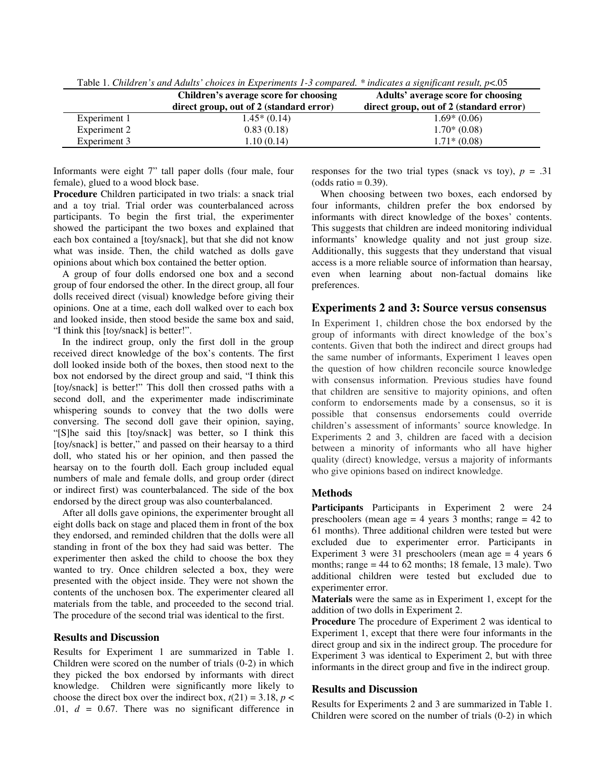|              | Children's average score for choosing<br>direct group, out of 2 (standard error) | Adults' average score for choosing<br>direct group, out of 2 (standard error) |
|--------------|----------------------------------------------------------------------------------|-------------------------------------------------------------------------------|
| Experiment 1 | $1.45*(0.14)$                                                                    | $1.69*(0.06)$                                                                 |
| Experiment 2 | 0.83(0.18)                                                                       | $1.70*(0.08)$                                                                 |
| Experiment 3 | 1.10(0.14)                                                                       | $1.71*(0.08)$                                                                 |

Table 1. *Children's and Adults' choices in Experiments 1-3 compared. \* indicates a significant result, p*<.05

Informants were eight 7" tall paper dolls (four male, four female), glued to a wood block base.

**Procedure** Children participated in two trials: a snack trial and a toy trial. Trial order was counterbalanced across participants. To begin the first trial, the experimenter showed the participant the two boxes and explained that each box contained a [toy/snack], but that she did not know what was inside. Then, the child watched as dolls gave opinions about which box contained the better option.

 A group of four dolls endorsed one box and a second group of four endorsed the other. In the direct group, all four dolls received direct (visual) knowledge before giving their opinions. One at a time, each doll walked over to each box and looked inside, then stood beside the same box and said, "I think this [toy/snack] is better!".

In the indirect group, only the first doll in the group received direct knowledge of the box's contents. The first doll looked inside both of the boxes, then stood next to the box not endorsed by the direct group and said, "I think this [toy/snack] is better!" This doll then crossed paths with a second doll, and the experimenter made indiscriminate whispering sounds to convey that the two dolls were conversing. The second doll gave their opinion, saying, "[S]he said this [toy/snack] was better, so I think this [toy/snack] is better," and passed on their hearsay to a third doll, who stated his or her opinion, and then passed the hearsay on to the fourth doll. Each group included equal numbers of male and female dolls, and group order (direct or indirect first) was counterbalanced. The side of the box endorsed by the direct group was also counterbalanced.

After all dolls gave opinions, the experimenter brought all eight dolls back on stage and placed them in front of the box they endorsed, and reminded children that the dolls were all standing in front of the box they had said was better. The experimenter then asked the child to choose the box they wanted to try. Once children selected a box, they were presented with the object inside. They were not shown the contents of the unchosen box. The experimenter cleared all materials from the table, and proceeded to the second trial. The procedure of the second trial was identical to the first.

## **Results and Discussion**

Results for Experiment 1 are summarized in Table 1. Children were scored on the number of trials (0-2) in which they picked the box endorsed by informants with direct knowledge. Children were significantly more likely to choose the direct box over the indirect box,  $t(21) = 3.18$ ,  $p <$ .01,  $d = 0.67$ . There was no significant difference in responses for the two trial types (snack vs toy),  $p = .31$  $(odds ratio = 0.39).$ 

When choosing between two boxes, each endorsed by four informants, children prefer the box endorsed by informants with direct knowledge of the boxes' contents. This suggests that children are indeed monitoring individual informants' knowledge quality and not just group size. Additionally, this suggests that they understand that visual access is a more reliable source of information than hearsay, even when learning about non-factual domains like preferences.

## **Experiments 2 and 3: Source versus consensus**

In Experiment 1, children chose the box endorsed by the group of informants with direct knowledge of the box's contents. Given that both the indirect and direct groups had the same number of informants, Experiment 1 leaves open the question of how children reconcile source knowledge with consensus information. Previous studies have found that children are sensitive to majority opinions, and often conform to endorsements made by a consensus, so it is possible that consensus endorsements could override children's assessment of informants' source knowledge. In Experiments 2 and 3, children are faced with a decision between a minority of informants who all have higher quality (direct) knowledge, versus a majority of informants who give opinions based on indirect knowledge.

### **Methods**

**Participants** Participants in Experiment 2 were 24 preschoolers (mean age  $= 4$  years 3 months; range  $= 42$  to 61 months). Three additional children were tested but were excluded due to experimenter error. Participants in Experiment 3 were 31 preschoolers (mean age = 4 years 6 months; range = 44 to 62 months; 18 female, 13 male). Two additional children were tested but excluded due to experimenter error.

**Materials** were the same as in Experiment 1, except for the addition of two dolls in Experiment 2.

**Procedure** The procedure of Experiment 2 was identical to Experiment 1, except that there were four informants in the direct group and six in the indirect group. The procedure for Experiment 3 was identical to Experiment 2, but with three informants in the direct group and five in the indirect group.

### **Results and Discussion**

Results for Experiments 2 and 3 are summarized in Table 1. Children were scored on the number of trials (0-2) in which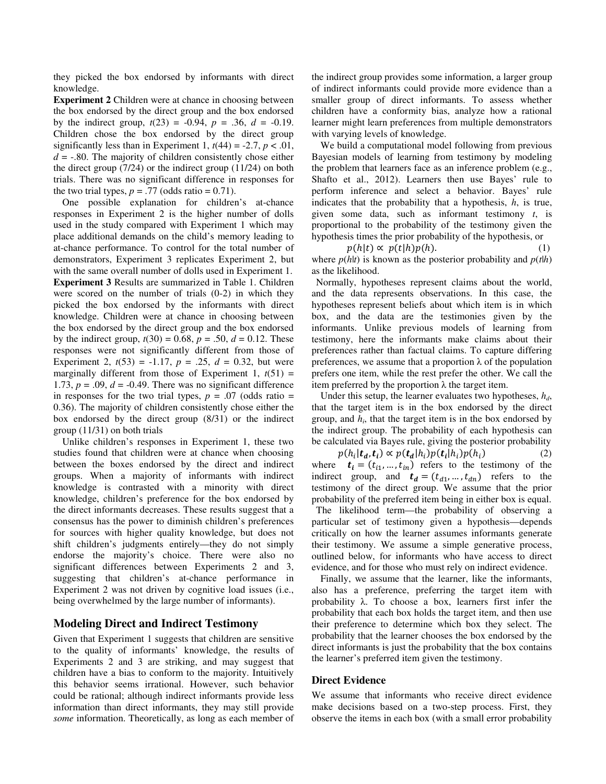they picked the box endorsed by informants with direct knowledge.

**Experiment 2** Children were at chance in choosing between the box endorsed by the direct group and the box endorsed by the indirect group,  $t(23) = -0.94$ ,  $p = .36$ ,  $d = -0.19$ . Children chose the box endorsed by the direct group significantly less than in Experiment 1,  $t(44) = -2.7$ ,  $p < .01$ ,  $d = -0.80$ . The majority of children consistently chose either the direct group (7/24) or the indirect group (11/24) on both trials. There was no significant difference in responses for the two trial types,  $p = .77$  (odds ratio = 0.71).

One possible explanation for children's at-chance responses in Experiment 2 is the higher number of dolls used in the study compared with Experiment 1 which may place additional demands on the child's memory leading to at-chance performance. To control for the total number of demonstrators, Experiment 3 replicates Experiment 2, but with the same overall number of dolls used in Experiment 1. **Experiment 3** Results are summarized in Table 1. Children were scored on the number of trials (0-2) in which they picked the box endorsed by the informants with direct knowledge. Children were at chance in choosing between the box endorsed by the direct group and the box endorsed by the indirect group,  $t(30) = 0.68$ ,  $p = .50$ ,  $d = 0.12$ . These responses were not significantly different from those of Experiment 2,  $t(53) = -1.17$ ,  $p = .25$ ,  $d = 0.32$ , but were marginally different from those of Experiment 1,  $t(51)$  = 1.73,  $p = .09$ ,  $d = -0.49$ . There was no significant difference in responses for the two trial types,  $p = .07$  (odds ratio  $=$ 0.36). The majority of children consistently chose either the box endorsed by the direct group (8/31) or the indirect group (11/31) on both trials

Unlike children's responses in Experiment 1, these two studies found that children were at chance when choosing between the boxes endorsed by the direct and indirect groups. When a majority of informants with indirect knowledge is contrasted with a minority with direct knowledge, children's preference for the box endorsed by the direct informants decreases. These results suggest that a consensus has the power to diminish children's preferences for sources with higher quality knowledge, but does not shift children's judgments entirely—they do not simply endorse the majority's choice. There were also no significant differences between Experiments 2 and 3, suggesting that children's at-chance performance in Experiment 2 was not driven by cognitive load issues (i.e., being overwhelmed by the large number of informants).

## **Modeling Direct and Indirect Testimony**

Given that Experiment 1 suggests that children are sensitive to the quality of informants' knowledge, the results of Experiments 2 and 3 are striking, and may suggest that children have a bias to conform to the majority. Intuitively this behavior seems irrational. However, such behavior could be rational; although indirect informants provide less information than direct informants, they may still provide *some* information. Theoretically, as long as each member of the indirect group provides some information, a larger group of indirect informants could provide more evidence than a smaller group of direct informants. To assess whether children have a conformity bias, analyze how a rational learner might learn preferences from multiple demonstrators with varying levels of knowledge.

We build a computational model following from previous Bayesian models of learning from testimony by modeling the problem that learners face as an inference problem (e.g., Shafto et al., 2012). Learners then use Bayes' rule to perform inference and select a behavior. Bayes' rule indicates that the probability that a hypothesis, *h*, is true, given some data, such as informant testimony *t*, is proportional to the probability of the testimony given the hypothesis times the prior probability of the hypothesis, or

 $p(h|t) \propto p(t|h)p(t)$  $(h)$ . (1) where  $p(h|t)$  is known as the posterior probability and  $p(t|h)$ as the likelihood.

 Normally, hypotheses represent claims about the world, and the data represents observations. In this case, the hypotheses represent beliefs about which item is in which box, and the data are the testimonies given by the informants. Unlike previous models of learning from testimony, here the informants make claims about their preferences rather than factual claims. To capture differing preferences, we assume that a proportion  $\lambda$  of the population prefers one item, while the rest prefer the other. We call the item preferred by the proportion  $\lambda$  the target item.

Under this setup, the learner evaluates two hypotheses, *hd*, that the target item is in the box endorsed by the direct group, and  $h_i$ , that the target item is in the box endorsed by the indirect group. The probability of each hypothesis can be calculated via Bayes rule, giving the posterior probability

 $p(h_i|\mathbf{t}_d, \mathbf{t}_i) \propto p(\mathbf{t}_d | h_i) p(\mathbf{t}_i | h_i) p(h_i)$  (2) where  $t_i = (t_{i1}, ..., t_{in})$  refers to the testimony of the indirect group, and  $t_d = (t_{d1}, \dots, t_{dn})$  refers to the testimony of the direct group. We assume that the prior probability of the preferred item being in either box is equal.

 The likelihood term—the probability of observing a particular set of testimony given a hypothesis—depends critically on how the learner assumes informants generate their testimony. We assume a simple generative process, outlined below, for informants who have access to direct evidence, and for those who must rely on indirect evidence.

Finally, we assume that the learner, like the informants, also has a preference, preferring the target item with probability λ. To choose a box, learners first infer the probability that each box holds the target item, and then use their preference to determine which box they select. The probability that the learner chooses the box endorsed by the direct informants is just the probability that the box contains the learner's preferred item given the testimony.

## **Direct Evidence**

We assume that informants who receive direct evidence make decisions based on a two-step process. First, they observe the items in each box (with a small error probability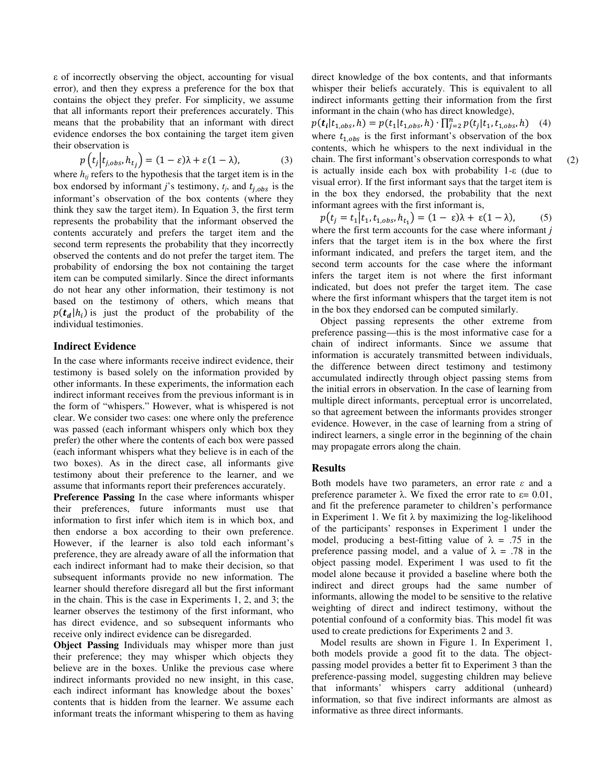ε of incorrectly observing the object, accounting for visual error), and then they express a preference for the box that contains the object they prefer. For simplicity, we assume that all informants report their preferences accurately. This means that the probability that an informant with direct evidence endorses the box containing the target item given their observation is

$$
p(t_j|t_{j,obs}, h_{t_j}) = (1 - \varepsilon)\lambda + \varepsilon(1 - \lambda), \tag{3}
$$

where  $h_{tj}$  refers to the hypothesis that the target item is in the box endorsed by informant *j*'s testimony,  $t_j$ , and  $t_{j,obs}$  is the informant's observation of the box contents (where they think they saw the target item). In Equation 3, the first term represents the probability that the informant observed the contents accurately and prefers the target item and the second term represents the probability that they incorrectly observed the contents and do not prefer the target item. The probability of endorsing the box not containing the target item can be computed similarly. Since the direct informants do not hear any other information, their testimony is not based on the testimony of others, which means that  $p(t_d|h_i)$  is just the product of the probability of the individual testimonies.

## **Indirect Evidence**

In the case where informants receive indirect evidence, their testimony is based solely on the information provided by other informants. In these experiments, the information each indirect informant receives from the previous informant is in the form of "whispers." However, what is whispered is not clear. We consider two cases: one where only the preference was passed (each informant whispers only which box they prefer) the other where the contents of each box were passed (each informant whispers what they believe is in each of the two boxes). As in the direct case, all informants give testimony about their preference to the learner, and we assume that informants report their preferences accurately.

**Preference Passing** In the case where informants whisper their preferences, future informants must use that information to first infer which item is in which box, and then endorse a box according to their own preference. However, if the learner is also told each informant's preference, they are already aware of all the information that each indirect informant had to make their decision, so that subsequent informants provide no new information. The learner should therefore disregard all but the first informant in the chain. This is the case in Experiments 1, 2, and 3; the learner observes the testimony of the first informant, who has direct evidence, and so subsequent informants who receive only indirect evidence can be disregarded.

**Object Passing** Individuals may whisper more than just their preference; they may whisper which objects they believe are in the boxes. Unlike the previous case where indirect informants provided no new insight, in this case, each indirect informant has knowledge about the boxes' contents that is hidden from the learner. We assume each informant treats the informant whispering to them as having direct knowledge of the box contents, and that informants whisper their beliefs accurately. This is equivalent to all indirect informants getting their information from the first informant in the chain (who has direct knowledge),

 $1 - \lambda$ ), (3) chain. The first informant's observation corresponds to what (2)  $p(t_i|t_{1,obs}, h) = p(t_1|t_{1,obs}, h) \cdot \prod_{j=2}^n p(t_j|t_1, t_{1,obs}, h)$  (4) where  $t_{1,obs}$  is the first informant's observation of the box contents, which he whispers to the next individual in the is actually inside each box with probability 1-ε (due to visual error). If the first informant says that the target item is in the box they endorsed, the probability that the next informant agrees with the first informant is,

$$
p(t_j = t_1 | t_1, t_{1,obs}, h_{t_1}) = (1 - \varepsilon)\lambda + \varepsilon(1 - \lambda), \tag{5}
$$

where the first term accounts for the case where informant *j* infers that the target item is in the box where the first informant indicated, and prefers the target item, and the second term accounts for the case where the informant infers the target item is not where the first informant indicated, but does not prefer the target item. The case where the first informant whispers that the target item is not in the box they endorsed can be computed similarly.

Object passing represents the other extreme from preference passing—this is the most informative case for a chain of indirect informants. Since we assume that information is accurately transmitted between individuals, the difference between direct testimony and testimony accumulated indirectly through object passing stems from the initial errors in observation. In the case of learning from multiple direct informants, perceptual error is uncorrelated, so that agreement between the informants provides stronger evidence. However, in the case of learning from a string of indirect learners, a single error in the beginning of the chain may propagate errors along the chain.

## **Results**

Both models have two parameters, an error rate *ε* and a preference parameter  $λ$ . We fixed the error rate to  $ε = 0.01$ , and fit the preference parameter to children's performance in Experiment 1. We fit  $\lambda$  by maximizing the log-likelihood of the participants' responses in Experiment 1 under the model, producing a best-fitting value of  $\lambda = .75$  in the preference passing model, and a value of  $\lambda = .78$  in the object passing model. Experiment 1 was used to fit the model alone because it provided a baseline where both the indirect and direct groups had the same number of informants, allowing the model to be sensitive to the relative weighting of direct and indirect testimony, without the potential confound of a conformity bias. This model fit was used to create predictions for Experiments 2 and 3.

 Model results are shown in Figure 1. In Experiment 1, both models provide a good fit to the data. The objectpassing model provides a better fit to Experiment 3 than the preference-passing model, suggesting children may believe that informants' whispers carry additional (unheard) information, so that five indirect informants are almost as informative as three direct informants.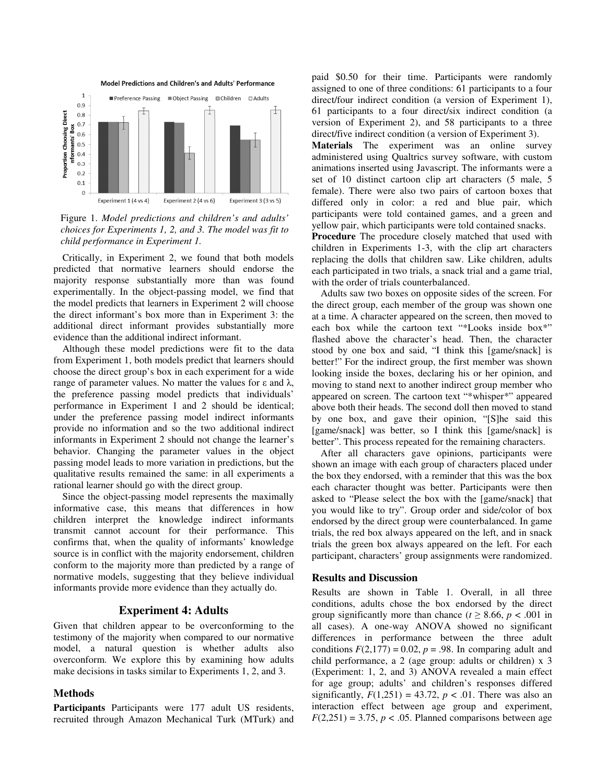

Figure 1. *Model predictions and children's and adults' choices for Experiments 1, 2, and 3. The model was fit to child performance in Experiment 1.*

Critically, in Experiment 2, we found that both models predicted that normative learners should endorse the majority response substantially more than was found experimentally. In the object-passing model, we find that the model predicts that learners in Experiment 2 will choose the direct informant's box more than in Experiment 3: the additional direct informant provides substantially more evidence than the additional indirect informant.

Although these model predictions were fit to the data from Experiment 1, both models predict that learners should choose the direct group's box in each experiment for a wide range of parameter values. No matter the values for ε and λ, the preference passing model predicts that individuals' performance in Experiment 1 and 2 should be identical; under the preference passing model indirect informants provide no information and so the two additional indirect informants in Experiment 2 should not change the learner's behavior. Changing the parameter values in the object passing model leads to more variation in predictions, but the qualitative results remained the same: in all experiments a rational learner should go with the direct group.

Since the object-passing model represents the maximally informative case, this means that differences in how children interpret the knowledge indirect informants transmit cannot account for their performance. This confirms that, when the quality of informants' knowledge source is in conflict with the majority endorsement, children conform to the majority more than predicted by a range of normative models, suggesting that they believe individual informants provide more evidence than they actually do.

## **Experiment 4: Adults**

Given that children appear to be overconforming to the testimony of the majority when compared to our normative model, a natural question is whether adults also overconform. We explore this by examining how adults make decisions in tasks similar to Experiments 1, 2, and 3.

## **Methods**

**Participants** Participants were 177 adult US residents, recruited through Amazon Mechanical Turk (MTurk) and paid \$0.50 for their time. Participants were randomly assigned to one of three conditions: 61 participants to a four direct/four indirect condition (a version of Experiment 1), 61 participants to a four direct/six indirect condition (a version of Experiment 2), and 58 participants to a three direct/five indirect condition (a version of Experiment 3).

**Materials** The experiment was an online survey administered using Qualtrics survey software, with custom animations inserted using Javascript. The informants were a set of 10 distinct cartoon clip art characters (5 male, 5 female). There were also two pairs of cartoon boxes that differed only in color: a red and blue pair, which participants were told contained games, and a green and yellow pair, which participants were told contained snacks.

**Procedure** The procedure closely matched that used with children in Experiments 1-3, with the clip art characters replacing the dolls that children saw. Like children, adults each participated in two trials, a snack trial and a game trial, with the order of trials counterbalanced.

 Adults saw two boxes on opposite sides of the screen. For the direct group, each member of the group was shown one at a time. A character appeared on the screen, then moved to each box while the cartoon text "\*Looks inside box\*" flashed above the character's head. Then, the character stood by one box and said, "I think this [game/snack] is better!" For the indirect group, the first member was shown looking inside the boxes, declaring his or her opinion, and moving to stand next to another indirect group member who appeared on screen. The cartoon text "\*whisper\*" appeared above both their heads. The second doll then moved to stand by one box, and gave their opinion, "[S]he said this [game/snack] was better, so I think this [game/snack] is better". This process repeated for the remaining characters.

 After all characters gave opinions, participants were shown an image with each group of characters placed under the box they endorsed, with a reminder that this was the box each character thought was better. Participants were then asked to "Please select the box with the [game/snack] that you would like to try". Group order and side/color of box endorsed by the direct group were counterbalanced. In game trials, the red box always appeared on the left, and in snack trials the green box always appeared on the left. For each participant, characters' group assignments were randomized.

## **Results and Discussion**

Results are shown in Table 1. Overall, in all three conditions, adults chose the box endorsed by the direct group significantly more than chance ( $t \geq 8.66$ ,  $p < .001$  in all cases). A one-way ANOVA showed no significant differences in performance between the three adult conditions  $F(2,177) = 0.02$ ,  $p = .98$ . In comparing adult and child performance, a 2 (age group: adults or children) x 3 (Experiment: 1, 2, and 3) ANOVA revealed a main effect for age group; adults' and children's responses differed significantly,  $F(1,251) = 43.72$ ,  $p < .01$ . There was also an interaction effect between age group and experiment,  $F(2,251) = 3.75$ ,  $p < .05$ . Planned comparisons between age